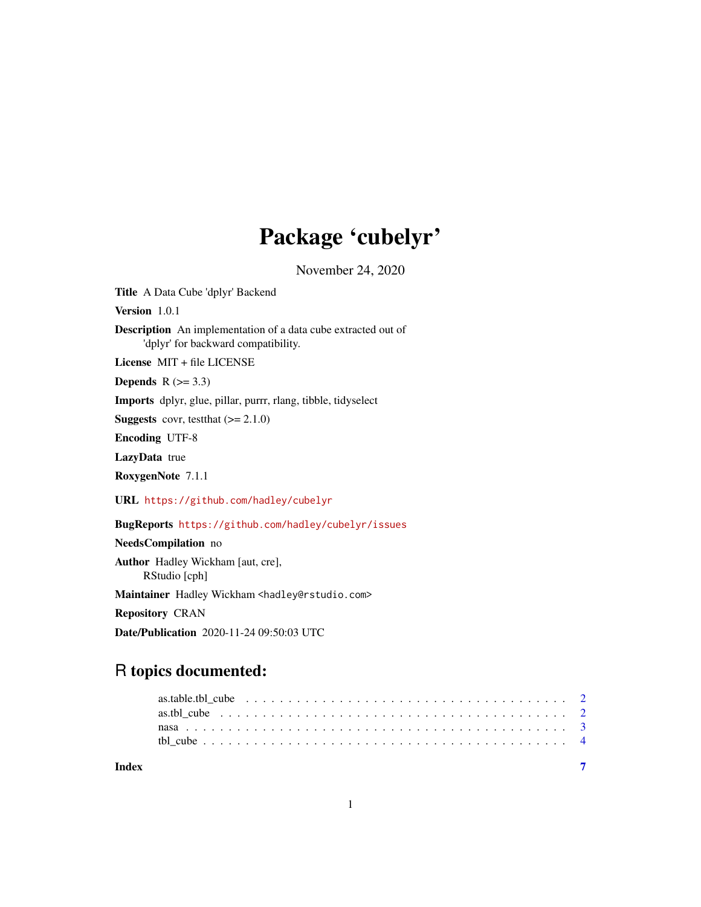## Package 'cubelyr'

November 24, 2020

<span id="page-0-0"></span>Title A Data Cube 'dplyr' Backend

Version 1.0.1

Description An implementation of a data cube extracted out of 'dplyr' for backward compatibility.

License MIT + file LICENSE

Depends  $R$  ( $>= 3.3$ )

Imports dplyr, glue, pillar, purrr, rlang, tibble, tidyselect

**Suggests** covr, test that  $(>= 2.1.0)$ 

Encoding UTF-8

LazyData true

RoxygenNote 7.1.1

URL <https://github.com/hadley/cubelyr>

BugReports <https://github.com/hadley/cubelyr/issues>

NeedsCompilation no

Author Hadley Wickham [aut, cre], RStudio [cph]

Maintainer Hadley Wickham <hadley@rstudio.com>

Repository CRAN

Date/Publication 2020-11-24 09:50:03 UTC

### R topics documented:

**Index** [7](#page-6-0) **7**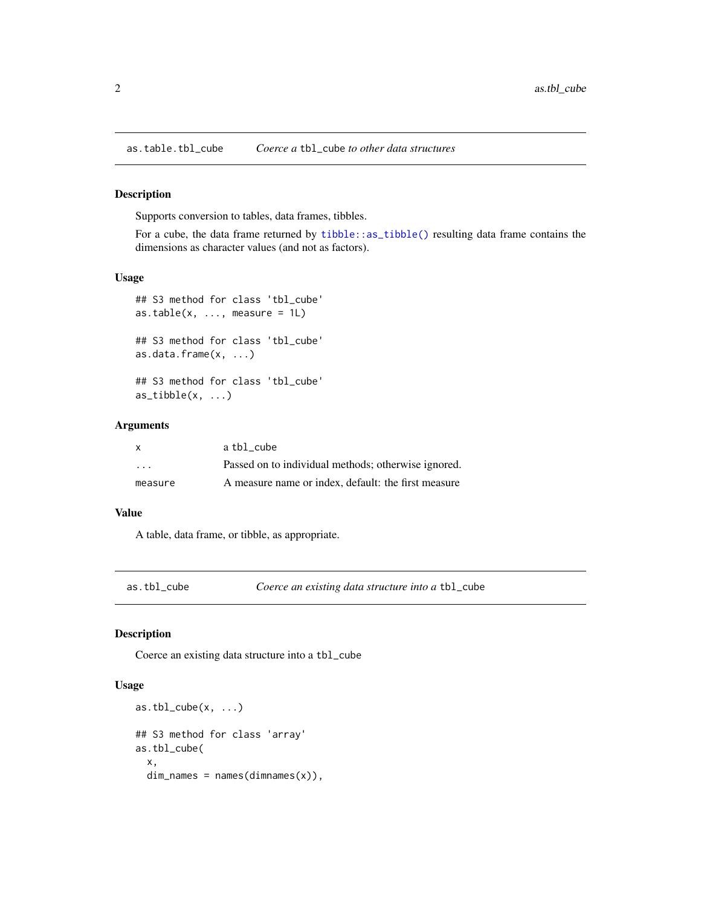<span id="page-1-0"></span>as.table.tbl\_cube *Coerce a* tbl\_cube *to other data structures*

#### Description

Supports conversion to tables, data frames, tibbles.

For a cube, the data frame returned by [tibble::as\\_tibble\(\)](#page-0-0) resulting data frame contains the dimensions as character values (and not as factors).

#### Usage

```
## S3 method for class 'tbl_cube'
as.table(x, \ldots, measure = 1L)
## S3 method for class 'tbl_cube'
as.data.frame(x, ...)
## S3 method for class 'tbl_cube'
as\_tibble(x, \ldots)
```
#### Arguments

| $\mathsf{x}$            | a tbl cube                                          |
|-------------------------|-----------------------------------------------------|
| $\cdot$ $\cdot$ $\cdot$ | Passed on to individual methods; otherwise ignored. |
| measure                 | A measure name or index, default: the first measure |

#### Value

A table, data frame, or tibble, as appropriate.

<span id="page-1-1"></span>

|  |  | as.tbl cube |  |
|--|--|-------------|--|
|--|--|-------------|--|

as.tbl\_cube *Coerce an existing data structure into a* tbl\_cube

#### Description

Coerce an existing data structure into a tbl\_cube

#### Usage

```
as.tb1<sub>cube</sub>(x, \ldots)## S3 method for class 'array'
as.tbl_cube(
  x,
  dim\_names = names(dimnames(x)),
```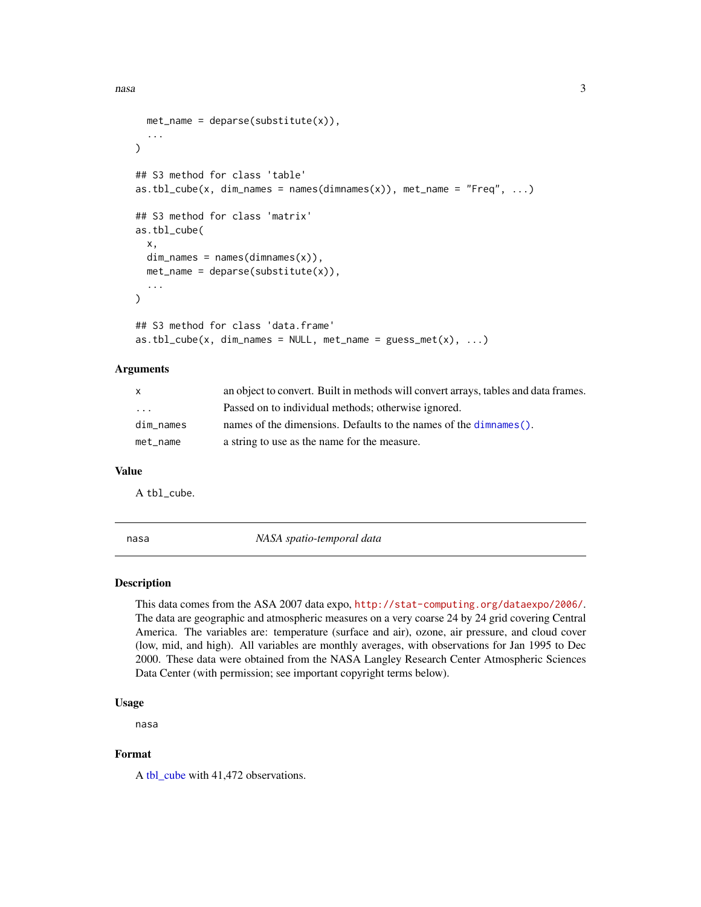```
met_name = deparse(substitute(x)),...
\lambda## S3 method for class 'table'
as.tb1_cube(x, dim_names = names(dimnames(x)), met_name = "Freq", ...)## S3 method for class 'matrix'
as.tbl_cube(
 x,
 dim\_names = names(dimnames(x)),met_name = deparse(substitute(x)),...
)
## S3 method for class 'data.frame'
as.tb1_cube(x, dim\_names = NULL, met_name = guess_met(x), ...)
```
#### Arguments

| X.        | an object to convert. Built in methods will convert arrays, tables and data frames. |
|-----------|-------------------------------------------------------------------------------------|
| .         | Passed on to individual methods; otherwise ignored.                                 |
| dim_names | names of the dimensions. Defaults to the names of the dimension ().                 |
| met name  | a string to use as the name for the measure.                                        |

#### Value

A tbl\_cube.

nasa *NASA spatio-temporal data*

#### Description

This data comes from the ASA 2007 data expo, <http://stat-computing.org/dataexpo/2006/>. The data are geographic and atmospheric measures on a very coarse 24 by 24 grid covering Central America. The variables are: temperature (surface and air), ozone, air pressure, and cloud cover (low, mid, and high). All variables are monthly averages, with observations for Jan 1995 to Dec 2000. These data were obtained from the NASA Langley Research Center Atmospheric Sciences Data Center (with permission; see important copyright terms below).

#### Usage

nasa

#### Format

A [tbl\\_cube](#page-3-1) with 41,472 observations.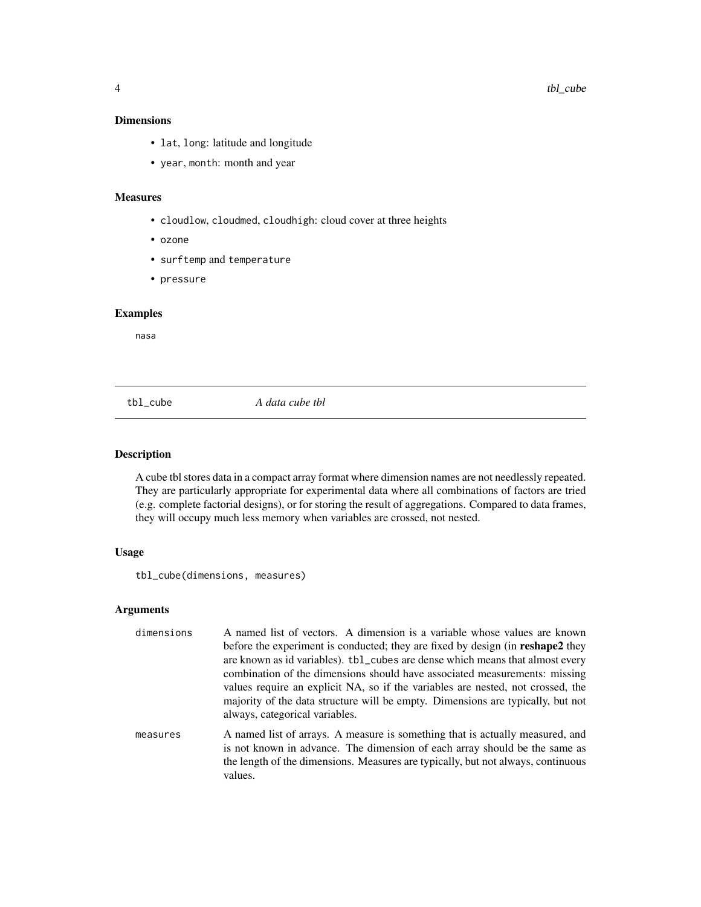#### <span id="page-3-0"></span>Dimensions

- lat, long: latitude and longitude
- year, month: month and year

#### Measures

- cloudlow, cloudmed, cloudhigh: cloud cover at three heights
- ozone
- surftemp and temperature
- pressure

#### Examples

nasa

<span id="page-3-1"></span>tbl\_cube *A data cube tbl*

#### Description

A cube tbl stores data in a compact array format where dimension names are not needlessly repeated. They are particularly appropriate for experimental data where all combinations of factors are tried (e.g. complete factorial designs), or for storing the result of aggregations. Compared to data frames, they will occupy much less memory when variables are crossed, not nested.

#### Usage

tbl\_cube(dimensions, measures)

values.

#### Arguments

| dimensions | A named list of vectors. A dimension is a variable whose values are known<br>before the experiment is conducted; they are fixed by design (in <b>reshape2</b> they<br>are known as id variables). tbl_cubes are dense which means that almost every                                |
|------------|------------------------------------------------------------------------------------------------------------------------------------------------------------------------------------------------------------------------------------------------------------------------------------|
|            | combination of the dimensions should have associated measurements: missing<br>values require an explicit NA, so if the variables are nested, not crossed, the<br>majority of the data structure will be empty. Dimensions are typically, but not<br>always, categorical variables. |
| measures   | A named list of arrays. A measure is something that is actually measured, and<br>is not known in advance. The dimension of each array should be the same as<br>the length of the dimensions. Measures are typically, but not always, continuous                                    |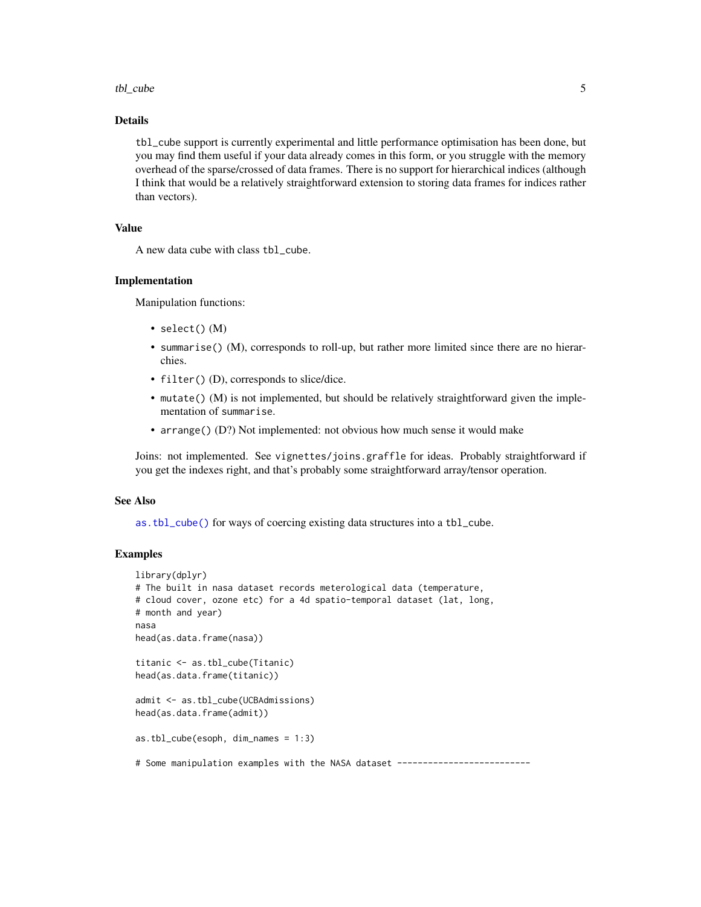#### <span id="page-4-0"></span>tbl\_cube 5

#### Details

tbl\_cube support is currently experimental and little performance optimisation has been done, but you may find them useful if your data already comes in this form, or you struggle with the memory overhead of the sparse/crossed of data frames. There is no support for hierarchical indices (although I think that would be a relatively straightforward extension to storing data frames for indices rather than vectors).

#### Value

A new data cube with class tbl\_cube.

#### Implementation

Manipulation functions:

- select() (M)
- summarise() (M), corresponds to roll-up, but rather more limited since there are no hierarchies.
- filter() (D), corresponds to slice/dice.
- mutate() (M) is not implemented, but should be relatively straightforward given the implementation of summarise.
- arrange() (D?) Not implemented: not obvious how much sense it would make

Joins: not implemented. See vignettes/joins.graffle for ideas. Probably straightforward if you get the indexes right, and that's probably some straightforward array/tensor operation.

#### See Also

[as.tbl\\_cube\(\)](#page-1-1) for ways of coercing existing data structures into a tbl\_cube.

#### Examples

```
library(dplyr)
# The built in nasa dataset records meterological data (temperature,
# cloud cover, ozone etc) for a 4d spatio-temporal dataset (lat, long,
# month and year)
nasa
head(as.data.frame(nasa))
titanic <- as.tbl_cube(Titanic)
head(as.data.frame(titanic))
admit <- as.tbl_cube(UCBAdmissions)
head(as.data.frame(admit))
as.tbl_cube(esoph, dim_names = 1:3)
# Some manipulation examples with the NASA dataset ---------------------------
```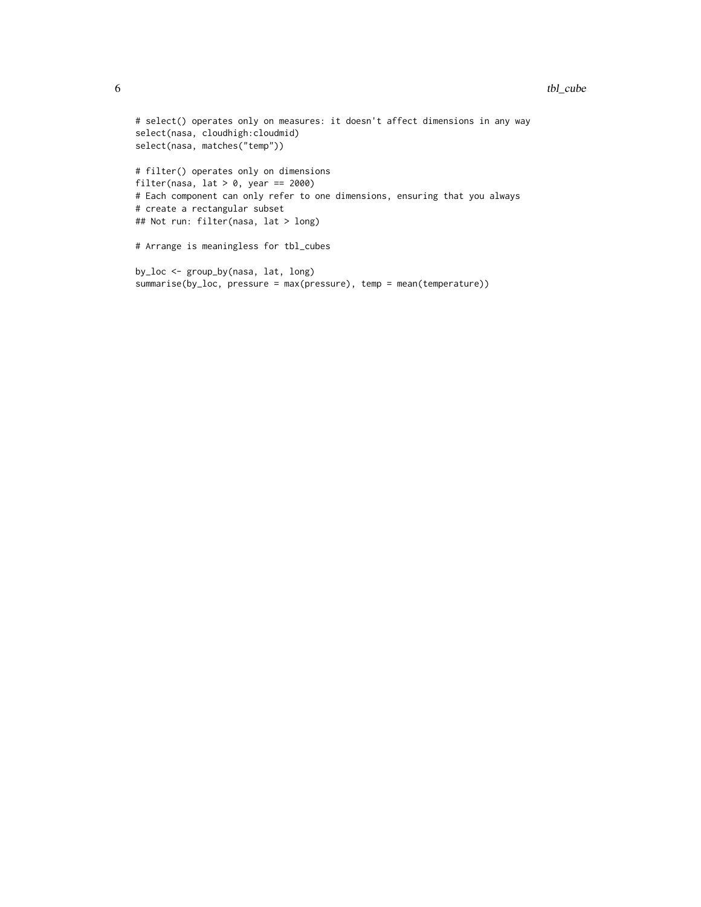#### 6 tbl\_cube tbl\_cube tbl\_cube tbl\_cube tbl\_cube tbl\_cube tbl\_cube tbl\_cube

```
# select() operates only on measures: it doesn't affect dimensions in any way
select(nasa, cloudhigh:cloudmid)
select(nasa, matches("temp"))
# filter() operates only on dimensions
filter(nasa, lat > 0, year == 2000)
# Each component can only refer to one dimensions, ensuring that you always
# create a rectangular subset
## Not run: filter(nasa, lat > long)
# Arrange is meaningless for tbl_cubes
by_loc <- group_by(nasa, lat, long)
summarise(by_loc, pressure = max(pressure), temp = mean(temperature))
```